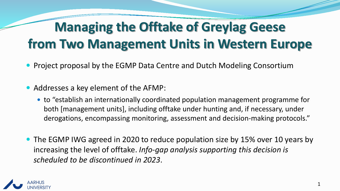## **Managing the Offtake of Greylag Geese from Two Management Units in Western Europe**

- Project proposal by the EGMP Data Centre and Dutch Modeling Consortium
- Addresses a key element of the AFMP:
	- to "establish an internationally coordinated population management programme for both [management units], including offtake under hunting and, if necessary, under derogations, encompassing monitoring, assessment and decision-making protocols."
- The EGMP IWG agreed in 2020 to reduce population size by 15% over 10 years by increasing the level of offtake. *Info-gap analysis supporting this decision is scheduled to be discontinued in 2023*.

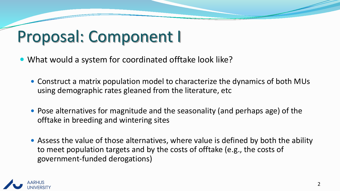## Proposal: Component I

- What would a system for coordinated offtake look like?
	- Construct a matrix population model to characterize the dynamics of both MUs using demographic rates gleaned from the literature, etc
	- Pose alternatives for magnitude and the seasonality (and perhaps age) of the offtake in breeding and wintering sites
	- Assess the value of those alternatives, where value is defined by both the ability to meet population targets and by the costs of offtake (e.g., the costs of government-funded derogations)

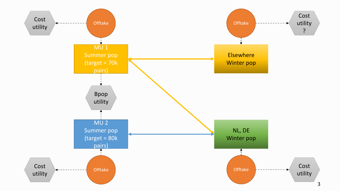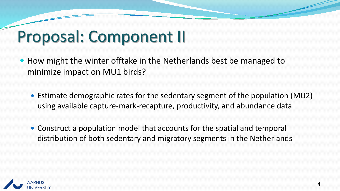## Proposal: Component II

- How might the winter offtake in the Netherlands best be managed to minimize impact on MU1 birds?
	- Estimate demographic rates for the sedentary segment of the population (MU2) using available capture-mark-recapture, productivity, and abundance data
	- Construct a population model that accounts for the spatial and temporal distribution of both sedentary and migratory segments in the Netherlands